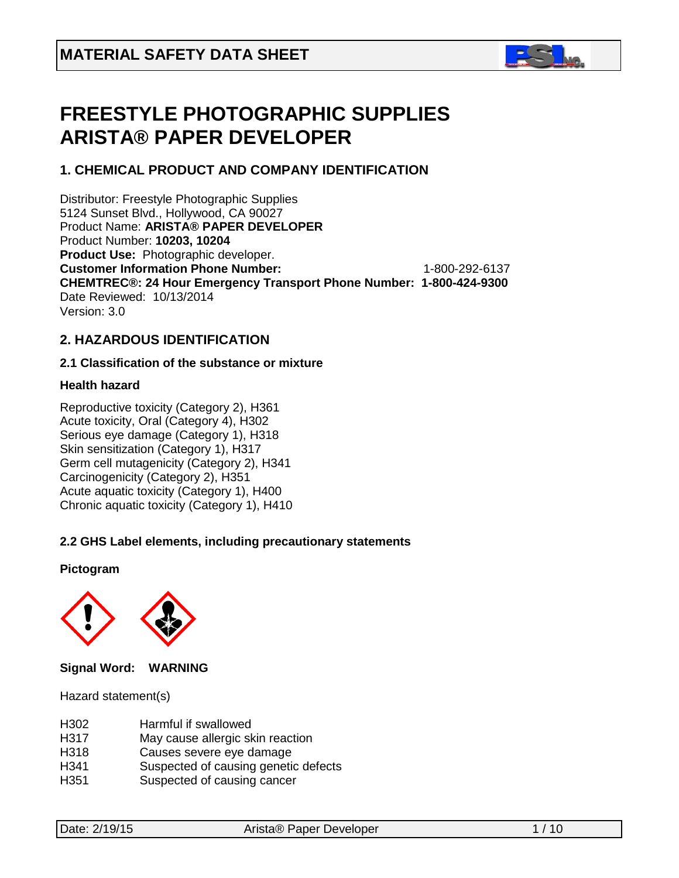

# **FREESTYLE PHOTOGRAPHIC SUPPLIES ARISTA® PAPER DEVELOPER**

# **1. CHEMICAL PRODUCT AND COMPANY IDENTIFICATION**

Distributor: Freestyle Photographic Supplies 5124 Sunset Blvd., Hollywood, CA 90027 Product Name: **ARISTA® PAPER DEVELOPER** Product Number: **10203, 10204 Product Use:** Photographic developer. **Customer Information Phone Number:** 1-800-292-6137 **CHEMTREC®: 24 Hour Emergency Transport Phone Number: 1-800-424-9300**  Date Reviewed: 10/13/2014 Version: 3.0

# **2. HAZARDOUS IDENTIFICATION**

# **2.1 Classification of the substance or mixture**

# **Health hazard**

Reproductive toxicity (Category 2), H361 Acute toxicity, Oral (Category 4), H302 Serious eye damage (Category 1), H318 Skin sensitization (Category 1), H317 Germ cell mutagenicity (Category 2), H341 Carcinogenicity (Category 2), H351 Acute aquatic toxicity (Category 1), H400 Chronic aquatic toxicity (Category 1), H410

# **2.2 GHS Label elements, including precautionary statements**

# **Pictogram**



# **Signal Word: WARNING**

Hazard statement(s)

| H302 | Harmful if swallowed |
|------|----------------------|
|      |                      |

- H317 May cause allergic skin reaction
- H318 Causes severe eye damage
- H341 Suspected of causing genetic defects<br>H351 Suspected of causing cancer
- Suspected of causing cancer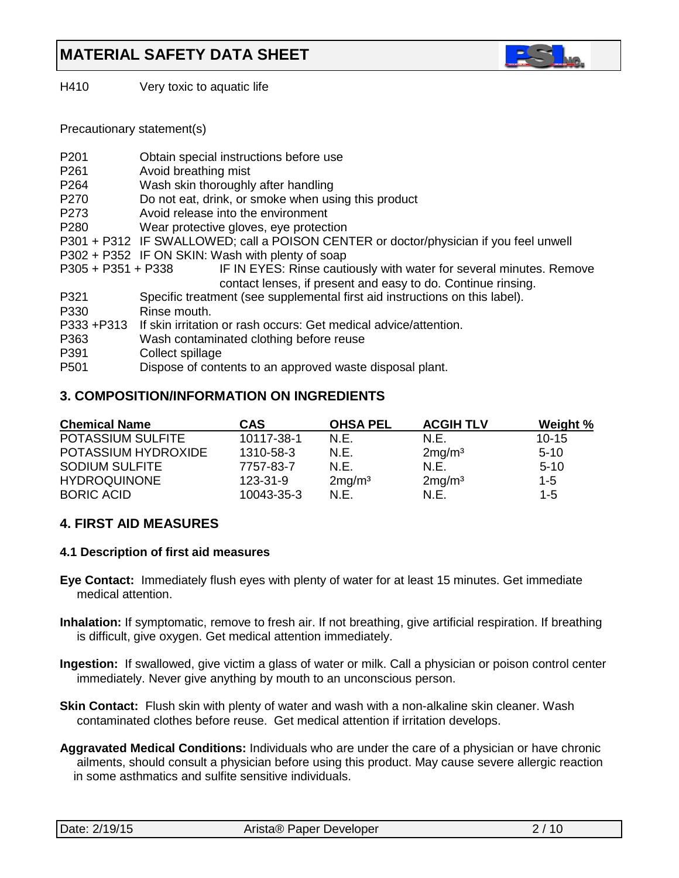

H410 Very toxic to aquatic life

Precautionary statement(s)

| P <sub>201</sub>   | Obtain special instructions before use                                                |
|--------------------|---------------------------------------------------------------------------------------|
| P <sub>261</sub>   | Avoid breathing mist                                                                  |
| P <sub>264</sub>   | Wash skin thoroughly after handling                                                   |
| P <sub>270</sub>   | Do not eat, drink, or smoke when using this product                                   |
| P273               | Avoid release into the environment                                                    |
| P <sub>280</sub>   | Wear protective gloves, eye protection                                                |
|                    | P301 + P312 IF SWALLOWED; call a POISON CENTER or doctor/physician if you feel unwell |
|                    | P302 + P352 IF ON SKIN: Wash with plenty of soap                                      |
| P305 + P351 + P338 | IF IN EYES: Rinse cautiously with water for several minutes. Remove                   |
|                    | contact lenses, if present and easy to do. Continue rinsing.                          |
| P321               | Specific treatment (see supplemental first aid instructions on this label).           |
| P330               | Rinse mouth.                                                                          |
| P333 + P313        | If skin irritation or rash occurs: Get medical advice/attention.                      |
| P363               | Wash contaminated clothing before reuse                                               |
| P391               | Collect spillage                                                                      |
| P <sub>501</sub>   | Dispose of contents to an approved waste disposal plant.                              |
|                    |                                                                                       |

# **3. COMPOSITION/INFORMATION ON INGREDIENTS**

| <b>Chemical Name</b>     | CAS            | <b>OHSA PEL</b>    | <b>ACGIH TLV</b>   | Weight %  |
|--------------------------|----------------|--------------------|--------------------|-----------|
| <b>POTASSIUM SULFITE</b> | 10117-38-1     | N.E.               | N.E.               | $10 - 15$ |
| POTASSIUM HYDROXIDE      | 1310-58-3      | N.E.               | 2mg/m <sup>3</sup> | $5-10$    |
| <b>SODIUM SULFITE</b>    | 7757-83-7      | N.E.               | N.E.               | $5-10$    |
| <b>HYDROQUINONE</b>      | $123 - 31 - 9$ | 2mg/m <sup>3</sup> | 2mg/m <sup>3</sup> | $1 - 5$   |
| <b>BORIC ACID</b>        | 10043-35-3     | N.E.               | N.E.               | $1 - 5$   |

# **4. FIRST AID MEASURES**

### **4.1 Description of first aid measures**

- **Eye Contact:** Immediately flush eyes with plenty of water for at least 15 minutes. Get immediate medical attention.
- **Inhalation:** If symptomatic, remove to fresh air. If not breathing, give artificial respiration. If breathing is difficult, give oxygen. Get medical attention immediately.
- **Ingestion:** If swallowed, give victim a glass of water or milk. Call a physician or poison control center immediately. Never give anything by mouth to an unconscious person.
- **Skin Contact:** Flush skin with plenty of water and wash with a non-alkaline skin cleaner. Wash contaminated clothes before reuse. Get medical attention if irritation develops.
- **Aggravated Medical Conditions:** Individuals who are under the care of a physician or have chronic ailments, should consult a physician before using this product. May cause severe allergic reaction in some asthmatics and sulfite sensitive individuals.

|  | Date: 2/19/15 |
|--|---------------|
|--|---------------|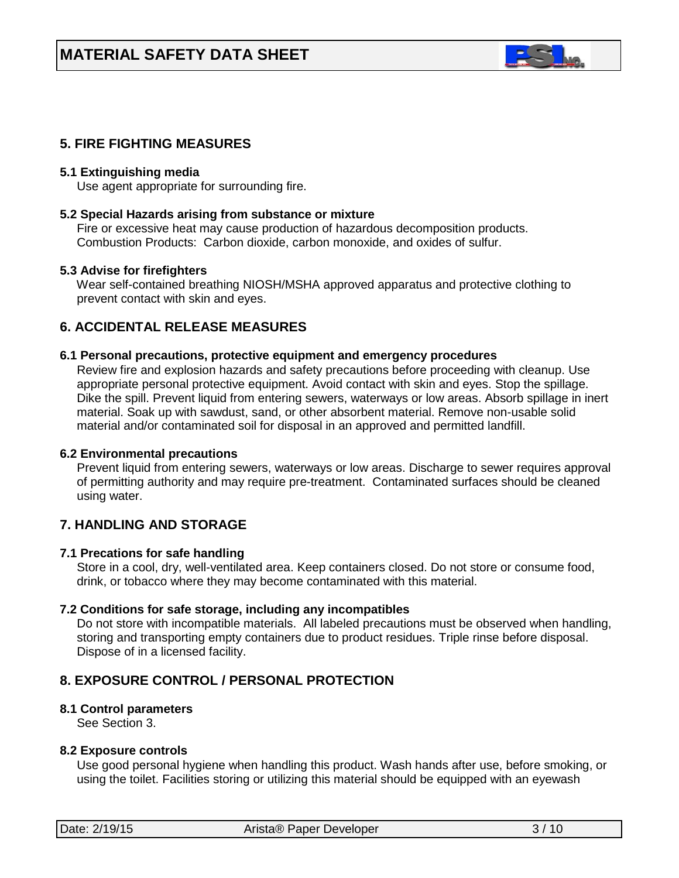

# **5. FIRE FIGHTING MEASURES**

### **5.1 Extinguishing media**

Use agent appropriate for surrounding fire.

### **5.2 Special Hazards arising from substance or mixture**

 Fire or excessive heat may cause production of hazardous decomposition products. Combustion Products: Carbon dioxide, carbon monoxide, and oxides of sulfur.

### **5.3 Advise for firefighters**

Wear self-contained breathing NIOSH/MSHA approved apparatus and protective clothing to prevent contact with skin and eyes.

# **6. ACCIDENTAL RELEASE MEASURES**

### **6.1 Personal precautions, protective equipment and emergency procedures**

Review fire and explosion hazards and safety precautions before proceeding with cleanup. Use appropriate personal protective equipment. Avoid contact with skin and eyes. Stop the spillage. Dike the spill. Prevent liquid from entering sewers, waterways or low areas. Absorb spillage in inert material. Soak up with sawdust, sand, or other absorbent material. Remove non-usable solid material and/or contaminated soil for disposal in an approved and permitted landfill.

#### **6.2 Environmental precautions**

 Prevent liquid from entering sewers, waterways or low areas. Discharge to sewer requires approval of permitting authority and may require pre-treatment. Contaminated surfaces should be cleaned using water.

# **7. HANDLING AND STORAGE**

### **7.1 Precations for safe handling**

 Store in a cool, dry, well-ventilated area. Keep containers closed. Do not store or consume food, drink, or tobacco where they may become contaminated with this material.

### **7.2 Conditions for safe storage, including any incompatibles**

Do not store with incompatible materials. All labeled precautions must be observed when handling, storing and transporting empty containers due to product residues. Triple rinse before disposal. Dispose of in a licensed facility.

# **8. EXPOSURE CONTROL / PERSONAL PROTECTION**

### **8.1 Control parameters**

See Section 3.

#### **8.2 Exposure controls**

Use good personal hygiene when handling this product. Wash hands after use, before smoking, or using the toilet. Facilities storing or utilizing this material should be equipped with an eyewash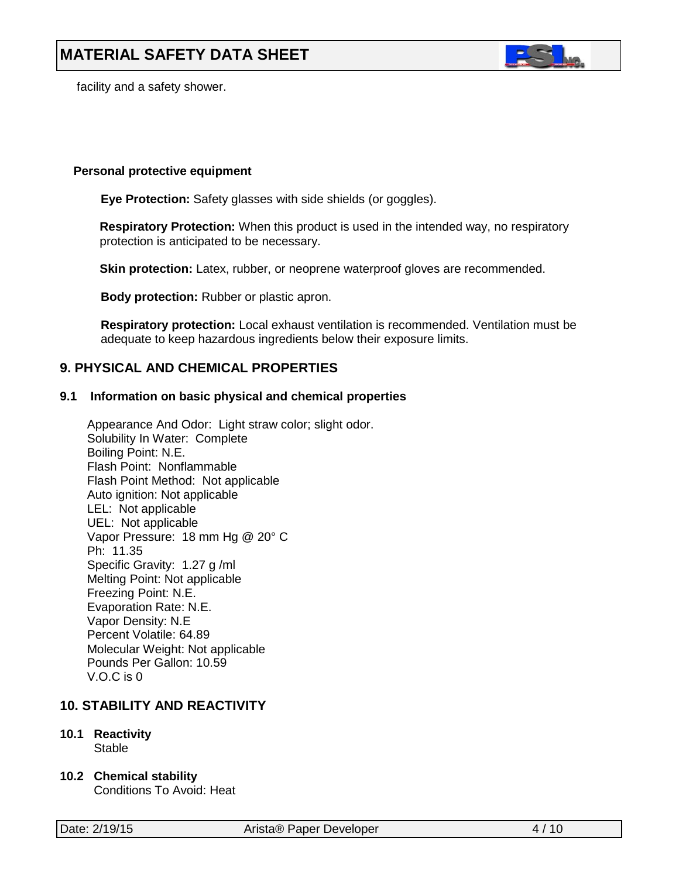

facility and a safety shower.

### **Personal protective equipment**

**Eye Protection:** Safety glasses with side shields (or goggles).

**Respiratory Protection:** When this product is used in the intended way, no respiratory protection is anticipated to be necessary.

**Skin protection:** Latex, rubber, or neoprene waterproof gloves are recommended.

 **Body protection:** Rubber or plastic apron.

 **Respiratory protection:** Local exhaust ventilation is recommended. Ventilation must be adequate to keep hazardous ingredients below their exposure limits.

# **9. PHYSICAL AND CHEMICAL PROPERTIES**

### **9.1 Information on basic physical and chemical properties**

Appearance And Odor: Light straw color; slight odor. Solubility In Water: Complete Boiling Point: N.E. Flash Point: Nonflammable Flash Point Method: Not applicable Auto ignition: Not applicable LEL: Not applicable UEL: Not applicable Vapor Pressure: 18 mm Hg @ 20° C Ph: 11.35 Specific Gravity: 1.27 g /ml Melting Point: Not applicable Freezing Point: N.E. Evaporation Rate: N.E. Vapor Density: N.E Percent Volatile: 64.89 Molecular Weight: Not applicable Pounds Per Gallon: 10.59 V.O.C is 0

# **10. STABILITY AND REACTIVITY**

- **10.1 Reactivity Stable**
- **10.2 Chemical stability**

Conditions To Avoid: Heat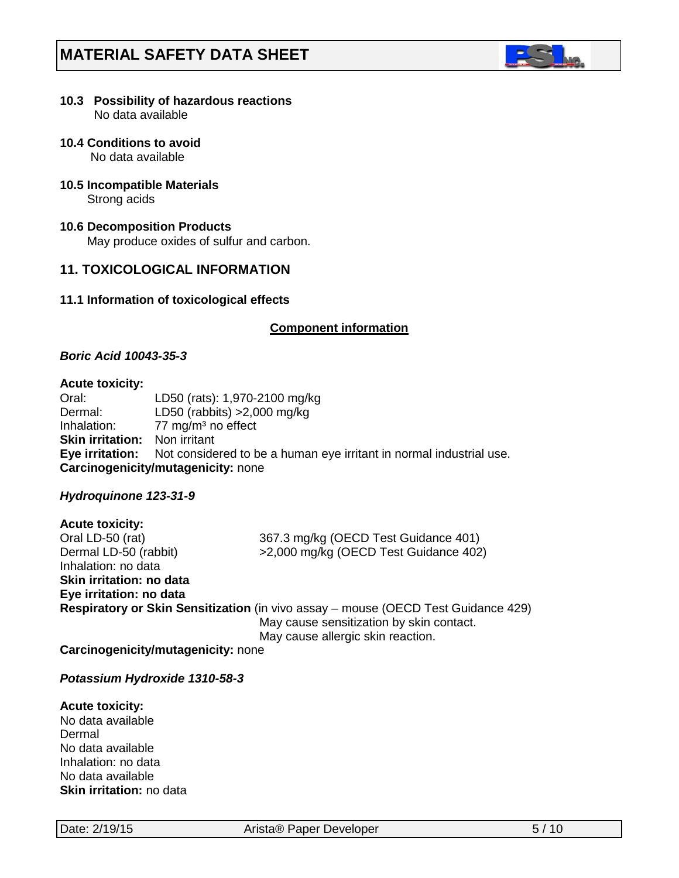

#### **10.3 Possibility of hazardous reactions** No data available

**10.4 Conditions to avoid**

No data available

**10.5 Incompatible Materials**

Strong acids

# **10.6 Decomposition Products**

May produce oxides of sulfur and carbon.

# **11. TOXICOLOGICAL INFORMATION**

# **11.1 Information of toxicological effects**

# **Component information**

# *Boric Acid 10043-35-3*

### **Acute toxicity:**

Oral: LD50 (rats): 1,970-2100 mg/kg Dermal: LD50 (rabbits) >2,000 mg/kg Inhalation:  $77 \text{ mg/m}^3$  no effect **Skin irritation:** Non irritant **Eye irritation:** Not considered to be a human eye irritant in normal industrial use. **Carcinogenicity/mutagenicity:** none

# *Hydroquinone 123-31-9*

**Acute toxicity:** Oral LD-50 (rat) 367.3 mg/kg (OECD Test Guidance 401) Dermal LD-50 (rabbit) >2,000 mg/kg (OECD Test Guidance 402) Inhalation: no data **Skin irritation: no data Eye irritation: no data Respiratory or Skin Sensitization** (in vivo assay – mouse (OECD Test Guidance 429) May cause sensitization by skin contact. May cause allergic skin reaction.

**Carcinogenicity/mutagenicity:** none

# *Potassium Hydroxide 1310-58-3*

#### **Acute toxicity:** No data available

Dermal No data available Inhalation: no data No data available **Skin irritation:** no data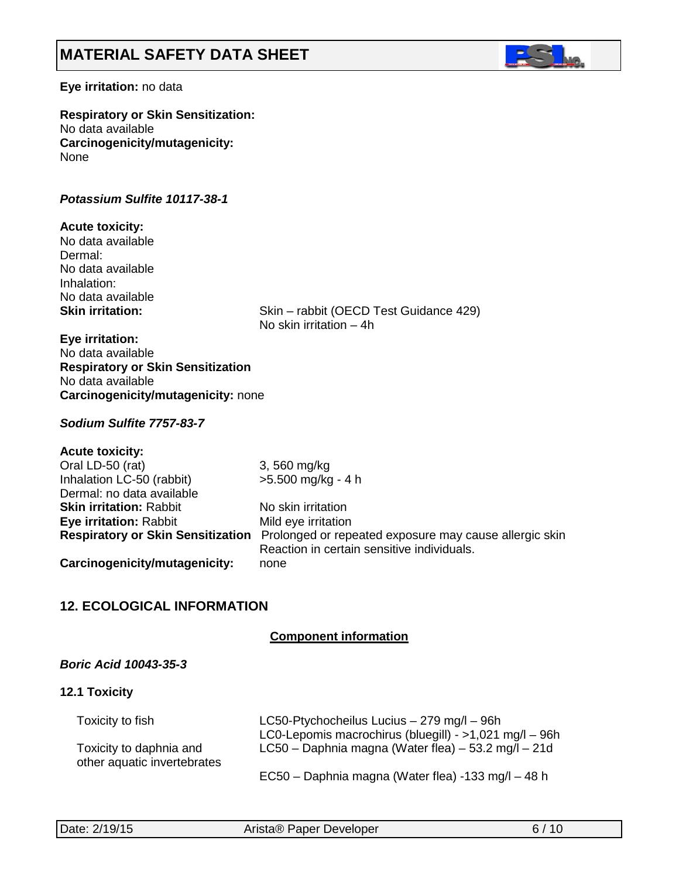

## **Eye irritation:** no data

**Respiratory or Skin Sensitization:** No data available **Carcinogenicity/mutagenicity:** None

### *Potassium Sulfite 10117-38-1*

### **Acute toxicity:**

No data available Dermal: No data available Inhalation: No data available<br>Skin irritation:

Skin – rabbit (OECD Test Guidance 429) No skin irritation – 4h

### **Eye irritation:**

No data available **Respiratory or Skin Sensitization** No data available **Carcinogenicity/mutagenicity:** none

# *Sodium Sulfite 7757-83-7*

| <b>Acute toxicity:</b>                   |                                                        |
|------------------------------------------|--------------------------------------------------------|
| Oral LD-50 (rat)                         | 3,560 mg/kg                                            |
| Inhalation LC-50 (rabbit)                | >5.500 mg/kg - 4 h                                     |
| Dermal: no data available                |                                                        |
| <b>Skin irritation: Rabbit</b>           | No skin irritation                                     |
| <b>Eye irritation: Rabbit</b>            | Mild eye irritation                                    |
| <b>Respiratory or Skin Sensitization</b> | Prolonged or repeated exposure may cause allergic skin |
|                                          | Reaction in certain sensitive individuals.             |
| Carcinogenicity/mutagenicity:            | none                                                   |

# **12. ECOLOGICAL INFORMATION**

# **Component information**

# *Boric Acid 10043-35-3*

### **12.1 Toxicity**

| Toxicity to fish                                       | LC50-Ptychocheilus Lucius - 279 mg/l - 96h             |
|--------------------------------------------------------|--------------------------------------------------------|
|                                                        | LC0-Lepomis macrochirus (bluegill) - >1,021 mg/l - 96h |
| Toxicity to daphnia and<br>other aquatic invertebrates | LC50 - Daphnia magna (Water flea) $-53.2$ mg/l $-21d$  |
|                                                        | EC50 - Daphnia magna (Water flea) -133 mg/l - 48 h     |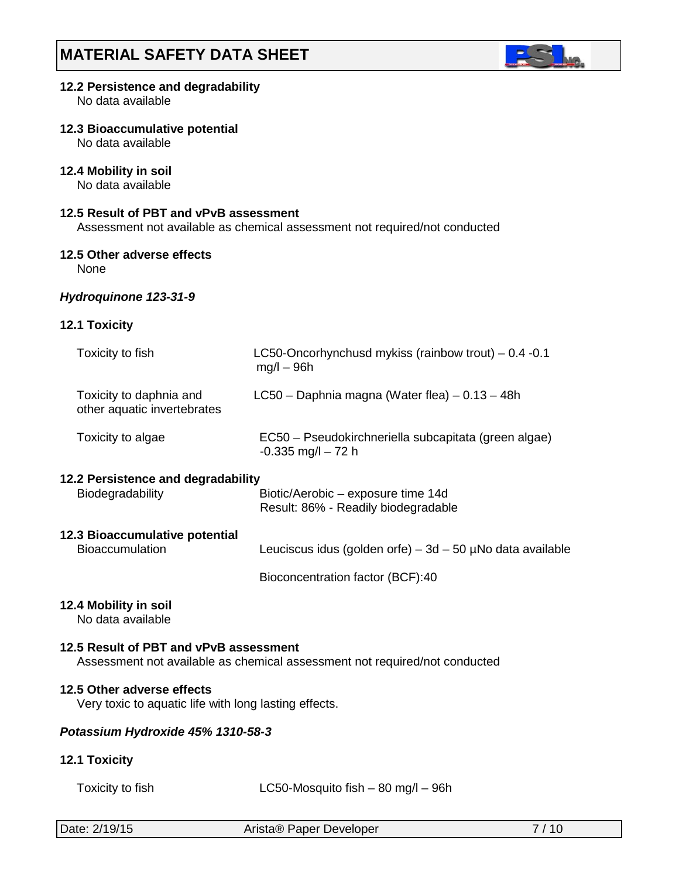

# **12.2 Persistence and degradability**

No data available

### **12.3 Bioaccumulative potential**

No data available

# **12.4 Mobility in soil**

No data available

# **12.5 Result of PBT and vPvB assessment**

Assessment not available as chemical assessment not required/not conducted

### **12.5 Other adverse effects**

None

### *Hydroquinone 123-31-9*

# **12.1 Toxicity**

| Toxicity to fish                                                                    | LC50-Oncorhynchusd mykiss (rainbow trout) - 0.4 -0.1<br>$mq/l - 96h$          |
|-------------------------------------------------------------------------------------|-------------------------------------------------------------------------------|
| Toxicity to daphnia and<br>other aquatic invertebrates                              | LC50 - Daphnia magna (Water flea) - 0.13 - 48h                                |
| Toxicity to algae                                                                   | EC50 - Pseudokirchneriella subcapitata (green algae)<br>$-0.335$ mg/l $-72$ h |
| 12.2 Persistence and degradability                                                  |                                                                               |
| Biodegradability                                                                    | Biotic/Aerobic - exposure time 14d<br>Result: 86% - Readily biodegradable     |
| 12.3 Bioaccumulative potential                                                      |                                                                               |
| <b>Bioaccumulation</b>                                                              | Leuciscus idus (golden orfe) – 3d – 50 $\mu$ No data available                |
|                                                                                     | Bioconcentration factor (BCF):40                                              |
| 12.4 Mobility in soil<br>No data available                                          |                                                                               |
| 12.5 Result of PBT and vPvB assessment                                              | Assessment not available as chemical assessment not required/not conducted    |
| 12.5 Other adverse effects<br>Very toxic to aquatic life with long lasting effects. |                                                                               |
| Potassium Hydroxide 45% 1310-58-3                                                   |                                                                               |
| 12.1 Toxicity                                                                       |                                                                               |
| Toxicity to fish                                                                    | LC50-Mosquito fish $-$ 80 mg/l $-$ 96h                                        |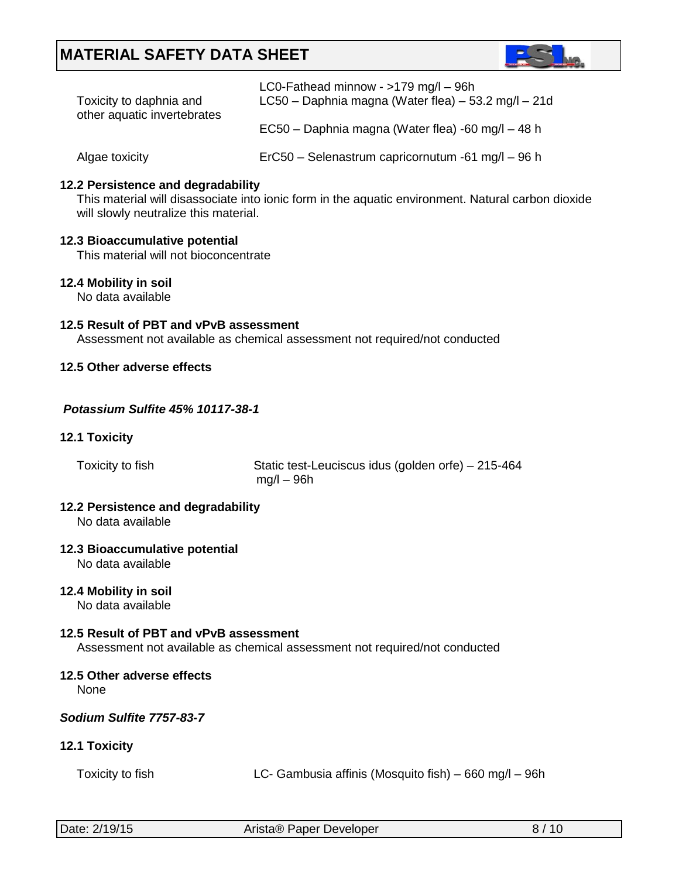

| LC0-Fathead minnow - $>179$ mg/l $-$ 96h              |
|-------------------------------------------------------|
| LC50 - Daphnia magna (Water flea) $-53.2$ mg/l $-21d$ |
| EC50 – Daphnia magna (Water flea) -60 mg/l – 48 h     |
|                                                       |

Algae toxicity ErC50 – Selenastrum capricornutum -61 mg/l – 96 h

# **12.2 Persistence and degradability**

This material will disassociate into ionic form in the aquatic environment. Natural carbon dioxide will slowly neutralize this material.

# **12.3 Bioaccumulative potential**

This material will not bioconcentrate

# **12.4 Mobility in soil**

No data available

# **12.5 Result of PBT and vPvB assessment**

Assessment not available as chemical assessment not required/not conducted

# **12.5 Other adverse effects**

# *Potassium Sulfite 45% 10117-38-1*

# **12.1 Toxicity**

Toxicity to fish Static test-Leuciscus idus (golden orfe) – 215-464 mg/l – 96h

#### **12.2 Persistence and degradability** No data available

### **12.3 Bioaccumulative potential**

No data available

# **12.4 Mobility in soil**

No data available

### **12.5 Result of PBT and vPvB assessment**

Assessment not available as chemical assessment not required/not conducted

# **12.5 Other adverse effects**

None

# *Sodium Sulfite 7757-83-7*

# **12.1 Toxicity**

| Toxicity to fish | LC- Gambusia affinis (Mosquito fish) – 660 mg/l – 96h |
|------------------|-------------------------------------------------------|
|------------------|-------------------------------------------------------|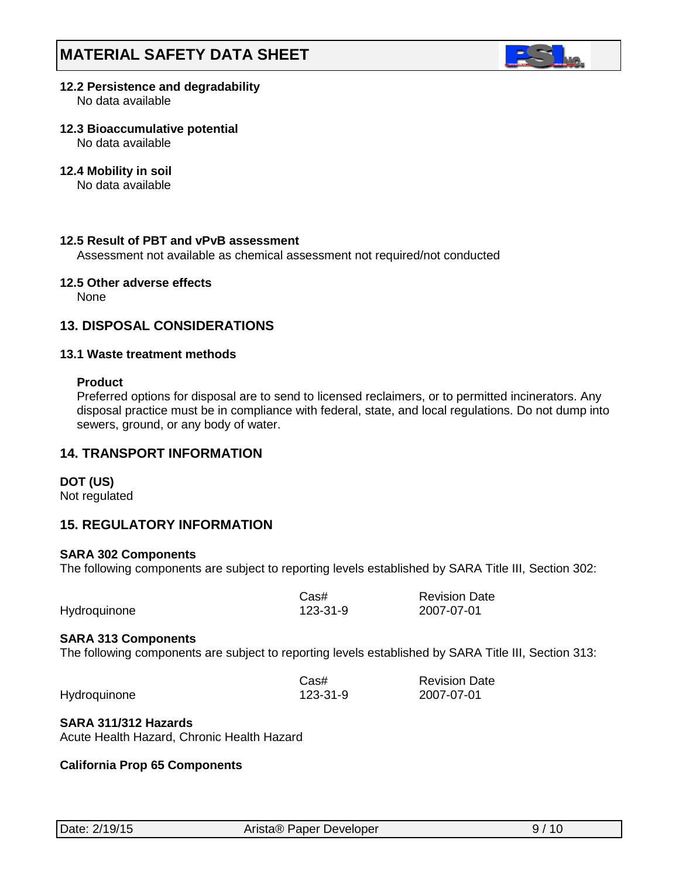

# **12.2 Persistence and degradability**

No data available

# **12.3 Bioaccumulative potential**

No data available

# **12.4 Mobility in soil**

No data available

# **12.5 Result of PBT and vPvB assessment**

Assessment not available as chemical assessment not required/not conducted

### **12.5 Other adverse effects**

None

# **13. DISPOSAL CONSIDERATIONS**

# **13.1 Waste treatment methods**

# **Product**

Preferred options for disposal are to send to licensed reclaimers, or to permitted incinerators. Any disposal practice must be in compliance with federal, state, and local regulations. Do not dump into sewers, ground, or any body of water.

# **14. TRANSPORT INFORMATION**

**DOT (US)**

Not regulated

# **15. REGULATORY INFORMATION**

### **SARA 302 Components**

The following components are subject to reporting levels established by SARA Title III, Section 302:

|              | Cas#     | <b>Revision Date</b> |
|--------------|----------|----------------------|
| Hydroquinone | 123-31-9 | 2007-07-01           |

### **SARA 313 Components**

The following components are subject to reporting levels established by SARA Title III, Section 313:

|              | $\text{Cas}\#$ | <b>Revision Date</b> |
|--------------|----------------|----------------------|
| Hydroquinone | 123-31-9       | 2007-07-01           |

### **SARA 311/312 Hazards**

Acute Health Hazard, Chronic Health Hazard

### **California Prop 65 Components**